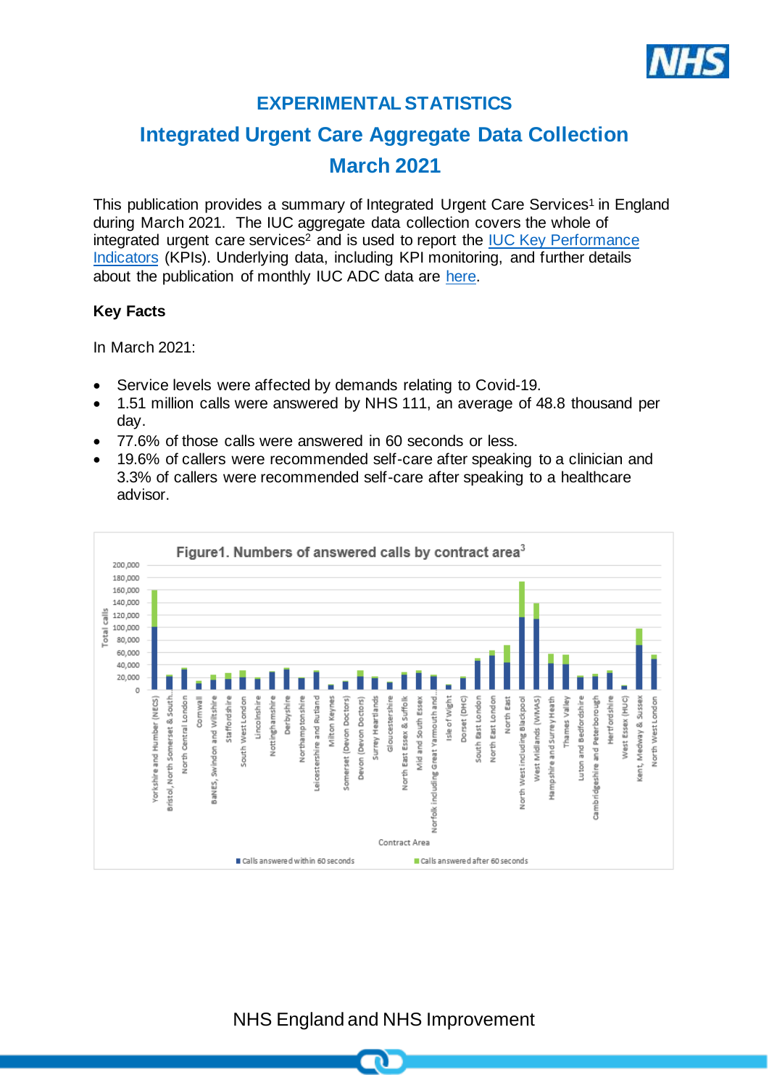

# **EXPERIMENTAL STATISTICS**

# **Integrated Urgent Care Aggregate Data Collection March 2021**

This publication provides a summary of Integrated Urgent Care Services<sup>1</sup> in England during March 2021. The IUC aggregate data collection covers the whole of integrated urgent care services<sup>2</sup> and is used to report the IUC Key Performance [Indicators](https://www.england.nhs.uk/publication/integrated-urgent-care-key-performance-indicators-and-quality-standards-2018/) (KPIs). Underlying data, including KPI monitoring, and further details about the publication of monthly IUC ADC data are [here.](https://www.england.nhs.uk/statistics/statistical-work-areas/nhs-111-minimum-data-set/integrated-urgent-care-aggregate-data-collection-iuc-adc-experimental-statistics-2020-21/)

### **Key Facts**

In March 2021:

- Service levels were affected by demands relating to Covid-19.
- 1.51 million calls were answered by NHS 111, an average of 48.8 thousand per day.
- 77.6% of those calls were answered in 60 seconds or less.
- 19.6% of callers were recommended self-care after speaking to a clinician and 3.3% of callers were recommended self-care after speaking to a healthcare advisor.



NHS England and NHS Improvement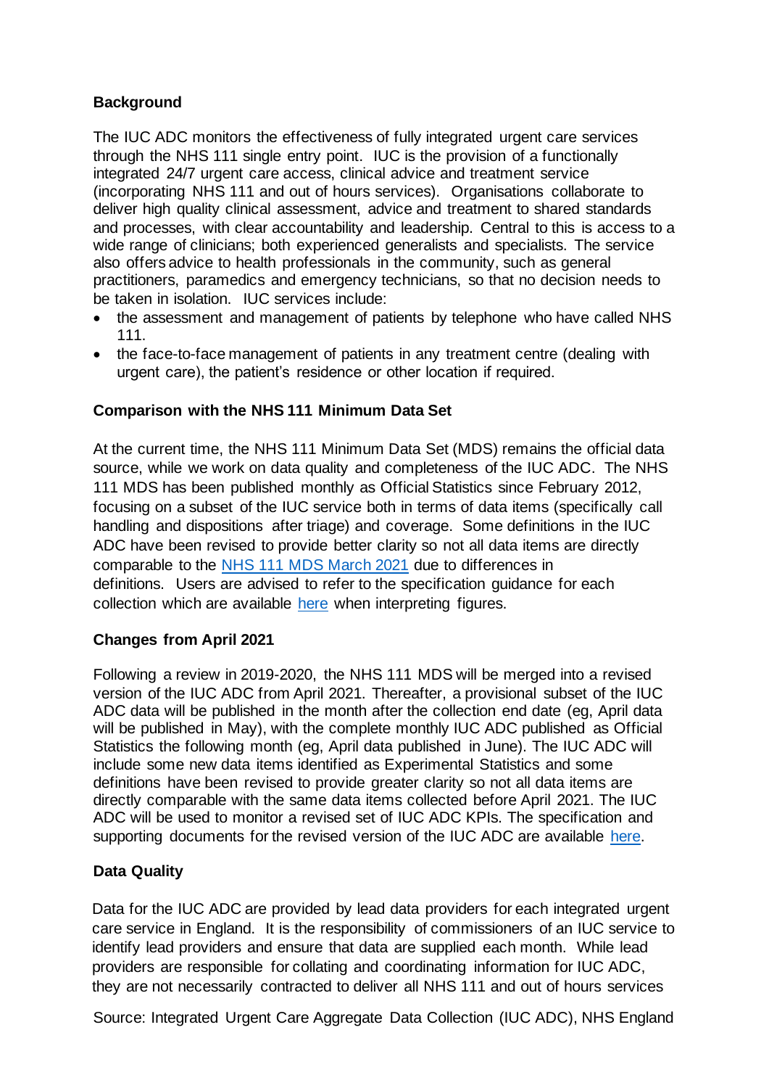# **Background**

The IUC ADC monitors the effectiveness of fully integrated urgent care services through the NHS 111 single entry point. IUC is the provision of a functionally integrated 24/7 urgent care access, clinical advice and treatment service (incorporating NHS 111 and out of hours services). Organisations collaborate to deliver high quality clinical assessment, advice and treatment to shared standards and processes, with clear accountability and leadership. Central to this is access to a wide range of clinicians; both experienced generalists and specialists. The service also offers advice to health professionals in the community, such as general practitioners, paramedics and emergency technicians, so that no decision needs to be taken in isolation. IUC services include:

- the assessment and management of patients by telephone who have called NHS 111.
- the face-to-face management of patients in any treatment centre (dealing with urgent care), the patient's residence or other location if required.

# **Comparison with the NHS 111 Minimum Data Set**

At the current time, the NHS 111 Minimum Data Set (MDS) remains the official data source, while we work on data quality and completeness of the IUC ADC. The NHS 111 MDS has been published monthly as Official Statistics since February 2012, focusing on a subset of the IUC service both in terms of data items (specifically call handling and dispositions after triage) and coverage. Some definitions in the IUC ADC have been revised to provide better clarity so not all data items are directly comparable to the [NHS 111 MDS March 2021](https://www.england.nhs.uk/statistics/wp-content/uploads/sites/2/2021/04/NHS-111-MDS-Apr-2021-Statistical-Note.pdf) due to differences in definitions. Users are advised to refer to the specification guidance for each collection which are available [here](https://www.england.nhs.uk/statistics/statistical-work-areas/nhs-111-minimum-data-set/integrated-urgent-care-aggregate-data-collection-iuc-adc-experimental-statistics-2020-21/) when interpreting figures.

### **Changes from April 2021**

Following a review in 2019-2020, the NHS 111 MDS will be merged into a revised version of the IUC ADC from April 2021. Thereafter, a provisional subset of the IUC ADC data will be published in the month after the collection end date (eg, April data will be published in May), with the complete monthly IUC ADC published as Official Statistics the following month (eg, April data published in June). The IUC ADC will include some new data items identified as Experimental Statistics and some definitions have been revised to provide greater clarity so not all data items are directly comparable with the same data items collected before April 2021. The IUC ADC will be used to monitor a revised set of IUC ADC KPIs. The specification and supporting documents for the revised version of the IUC ADC are available [here.](https://www.england.nhs.uk/statistics/statistical-work-areas/iucadc-new-from-april-2021/)

### **Data Quality**

Data for the IUC ADC are provided by lead data providers for each integrated urgent care service in England. It is the responsibility of commissioners of an IUC service to identify lead providers and ensure that data are supplied each month. While lead providers are responsible for collating and coordinating information for IUC ADC, they are not necessarily contracted to deliver all NHS 111 and out of hours services

Source: Integrated Urgent Care Aggregate Data Collection (IUC ADC), NHS England